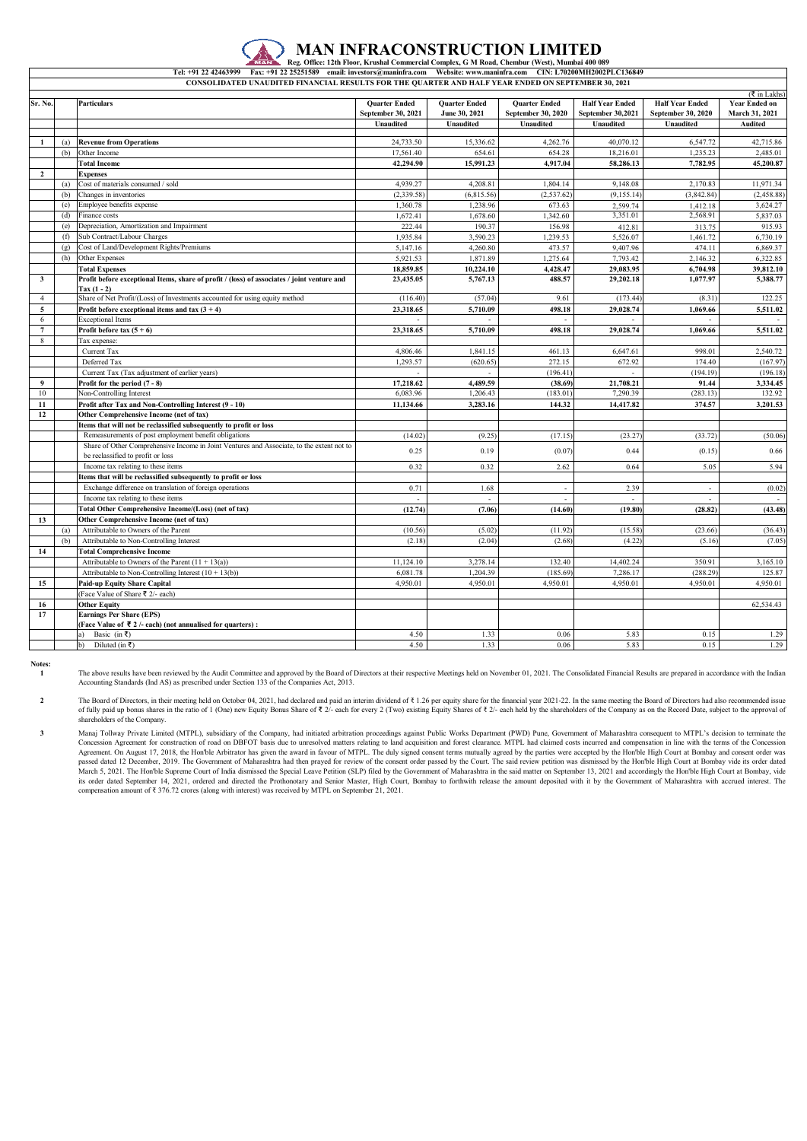## **MAN INFRACONSTRUCTION LIMITED Reg. Office: 12th Floor, Krushal Commercial Complex, G M Road, Chembur (West), Mumbai 400 089**

**CONSOLIDATED UNAUDITED FINANCIAL RESULTS FOR THE QUARTER AND HALF YEAR ENDED ON SEPTEMBER 30, 2021 Tel: +91 22 42463999 Fax: +91 22 25251589 email: investors@maninfra.com Website: www.maninfra.com CIN: L70200MH2002PLC136849**

|                         | $(\overline{\xi}$ in Lakhs) |                                                                                                             |                                            |                                       |                                            |                                             |                                              |                                        |
|-------------------------|-----------------------------|-------------------------------------------------------------------------------------------------------------|--------------------------------------------|---------------------------------------|--------------------------------------------|---------------------------------------------|----------------------------------------------|----------------------------------------|
| Sr. No.                 |                             | <b>Particulars</b>                                                                                          | <b>Quarter Ended</b><br>September 30, 2021 | <b>Quarter Ended</b><br>June 30, 2021 | <b>Quarter Ended</b><br>September 30, 2020 | <b>Half Year Ended</b><br>September 30,2021 | <b>Half Year Ended</b><br>September 30, 2020 | <b>Year Ended on</b><br>March 31, 2021 |
|                         |                             |                                                                                                             | <b>Unaudited</b>                           | Unaudited                             | <b>Unaudited</b>                           | Unaudited                                   | Unaudited                                    | <b>Audited</b>                         |
|                         |                             |                                                                                                             |                                            |                                       |                                            |                                             |                                              |                                        |
| $\mathbf{1}$            | (a)                         | <b>Revenue from Operations</b>                                                                              | 24,733.50                                  | 15,336.62                             | 4,262.76                                   | 40,070.12                                   | 6,547.72                                     | 42,715.86                              |
|                         | (b)                         | Other Income                                                                                                | 17,561.40                                  | 654.61                                | 654.28                                     | 18,216.01                                   | 1,235.23                                     | 2,485.01                               |
|                         |                             | <b>Total Income</b>                                                                                         | 42,294.90                                  | 15,991.23                             | 4,917.04                                   | 58,286.13                                   | 7,782.95                                     | 45,200.87                              |
| $\overline{2}$          |                             | <b>Expenses</b>                                                                                             |                                            |                                       |                                            |                                             |                                              |                                        |
|                         | (a)                         | Cost of materials consumed / sold                                                                           | 4,939.27                                   | 4,208.81                              | 1,804.14                                   | 9,148.08                                    | 2,170.83                                     | 11,971.34                              |
|                         | (b)                         | Changes in inventories                                                                                      | (2, 339.58)                                | (6,815.56)                            | (2, 537.62)                                | (9, 155.14)                                 | (3,842.84)                                   | (2,458.88)                             |
|                         | (c)                         | Employee benefits expense                                                                                   | 1,360.78                                   | 1,238.96                              | 673.63                                     | 2,599.74                                    | 1,412.18                                     | 3,624.27                               |
|                         | (d)                         | Finance costs                                                                                               | 1,672.41                                   | 1,678.60                              | 1,342.60                                   | 3,351.01                                    | 2,568.91                                     | 5,837.03                               |
|                         | (e)                         | Depreciation, Amortization and Impairment                                                                   | 222.44                                     | 190.37                                | 156.98                                     | 412.81                                      | 313.75                                       | 915.93                                 |
|                         | (f)                         | Sub Contract/Labour Charges                                                                                 | 1.935.84                                   | 3,590.23                              | 1.239.53                                   | 5.526.07                                    | 1.461.72                                     | 6,730.19                               |
|                         | (g)                         | Cost of Land/Development Rights/Premiums                                                                    | 5,147.16                                   | 4,260.80                              | 473.57                                     | 9,407.96                                    | 474.11                                       | 6,869.37                               |
|                         | (h)                         | Other Expenses                                                                                              | 5,921.53                                   | 1,871.89                              | 1,275.64                                   | 7,793.42                                    | 2,146.32                                     | 6,322.85                               |
|                         |                             | <b>Total Expenses</b>                                                                                       | 18,859.85                                  | 10,224.10                             | 4,428.47                                   | 29,083.95                                   | 6.704.98                                     | 39,812.10                              |
| $\overline{\mathbf{3}}$ |                             | Profit before exceptional Items, share of profit / (loss) of associates / joint venture and<br>$Tax(1 - 2)$ | 23,435.05                                  | 5,767.13                              | 488.57                                     | 29,202.18                                   | 1,077.97                                     | 5,388.77                               |
| $\overline{4}$          |                             | Share of Net Profit/(Loss) of Investments accounted for using equity method                                 | (116.40)                                   | (57.04)                               | 9.61                                       | (173.44)                                    | (8.31)                                       | 122.25                                 |
| 5                       |                             | Profit before exceptional items and tax $(3 + 4)$                                                           | 23,318.65                                  | 5,710.09                              | 498.18                                     | 29,028.74                                   | 1,069.66                                     | 5,511.02                               |
| 6                       |                             | <b>Exceptional Items</b>                                                                                    |                                            |                                       |                                            |                                             |                                              |                                        |
| $\overline{7}$          |                             | Profit before tax $(5 + 6)$                                                                                 | 23,318.65                                  | 5.710.09                              | 498.18                                     | 29,028.74                                   | 1.069.66                                     | 5,511.02                               |
| 8                       |                             | Tax expense:                                                                                                |                                            |                                       |                                            |                                             |                                              |                                        |
|                         |                             | Current Tax                                                                                                 | 4,806.46                                   | 1,841.15                              | 461.13                                     | 6,647.61                                    | 998.01                                       | 2,540.72                               |
|                         |                             | Deferred Tax                                                                                                | 1,293.57                                   | (620.65)                              | 272.15                                     | 672.92                                      | 174.40                                       | (167.97)                               |
|                         |                             | Current Tax (Tax adjustment of earlier years)                                                               |                                            |                                       | (196.41)                                   |                                             | (194.19)                                     | (196.18)                               |
| 9                       |                             | Profit for the period $(7 - 8)$                                                                             | 17,218.62                                  | 4,489.59                              | (38.69)                                    | 21,708.21                                   | 91.44                                        | 3,334.45                               |
| 10                      |                             | Non-Controlling Interest                                                                                    | 6,083.96                                   | 1,206.43                              | (183.01)                                   | 7,290.39                                    | (283.13)                                     | 132.92                                 |
| 11                      |                             | Profit after Tax and Non-Controlling Interest (9 - 10)                                                      | 11,134.66                                  | 3.283.16                              | 144.32                                     | 14,417.82                                   | 374.57                                       | 3,201.53                               |
| 12                      |                             | Other Comprehensive Income (net of tax)                                                                     |                                            |                                       |                                            |                                             |                                              |                                        |
|                         |                             | Items that will not be reclassified subsequently to profit or loss                                          |                                            |                                       |                                            |                                             |                                              |                                        |
|                         |                             | Remeasurements of post employment benefit obligations                                                       | (14.02)                                    | (9.25)                                | (17.15)                                    | (23.27)                                     | (33.72)                                      | (50.06)                                |
|                         |                             | Share of Other Comprehensive Income in Joint Ventures and Associate, to the extent not to                   | 0.25                                       | 0.19                                  | (0.07)                                     | 0.44                                        | (0.15)                                       | 0.66                                   |
|                         |                             | be reclassified to profit or loss                                                                           |                                            |                                       |                                            |                                             |                                              |                                        |
|                         |                             | Income tax relating to these items                                                                          | 0.32                                       | 0.32                                  | 2.62                                       | 0.64                                        | 5.05                                         | 5.94                                   |
|                         |                             | Items that will be reclassified subsequently to profit or loss                                              |                                            |                                       |                                            |                                             |                                              |                                        |
|                         |                             | Exchange difference on translation of foreign operations                                                    | 0.71                                       | 1.68                                  | $\overline{a}$                             | 2.39                                        | $\sim$                                       | (0.02)                                 |
|                         |                             | Income tax relating to these items                                                                          | $\overline{a}$                             | $\sim$                                | $\overline{a}$                             |                                             | $\sim$                                       |                                        |
|                         |                             | <b>Total Other Comprehensive Income/(Loss) (net of tax)</b>                                                 | (12.74)                                    | (7.06)                                | (14.60)                                    | (19.80)                                     | (28.82)                                      | (43.48)                                |
| 13                      |                             | Other Comprehensive Income (net of tax)                                                                     |                                            |                                       |                                            |                                             |                                              |                                        |
|                         | (a)                         | Attributable to Owners of the Parent                                                                        | (10.56)                                    | (5.02)                                | (11.92)                                    | (15.58)                                     | (23.66)                                      | (36.43)                                |
|                         | (b)                         | Attributable to Non-Controlling Interest                                                                    | (2.18)                                     | (2.04)                                | (2.68)                                     | (4.22)                                      | (5.16)                                       | (7.05)                                 |
| 14                      |                             | <b>Total Comprehensive Income</b>                                                                           |                                            |                                       |                                            |                                             |                                              |                                        |
|                         |                             | Attributable to Owners of the Parent $(11 + 13(a))$                                                         | 11,124.10                                  | 3,278.14                              | 132.40                                     | 14,402.24                                   | 350.91                                       | 3,165.10                               |
|                         |                             | Attributable to Non-Controlling Interest $(10 + 13(b))$                                                     | 6,081.78                                   | 1,204.39                              | (185.69)                                   | 7,286.17                                    | (288.29)                                     | 125.87                                 |
| 15                      |                             | Paid-up Equity Share Capital                                                                                | 4,950.01                                   | 4,950.01                              | 4,950.01                                   | 4,950.01                                    | 4,950.01                                     | 4.950.01                               |
|                         |                             | Face Value of Share ₹ 2/- each)                                                                             |                                            |                                       |                                            |                                             |                                              |                                        |
| 16                      |                             | <b>Other Equity</b>                                                                                         |                                            |                                       |                                            |                                             |                                              | 62,534.43                              |
| 17                      |                             | <b>Earnings Per Share (EPS)</b>                                                                             |                                            |                                       |                                            |                                             |                                              |                                        |
|                         |                             | (Face Value of ₹2/- each) (not annualised for quarters):                                                    |                                            |                                       |                                            |                                             |                                              |                                        |
|                         |                             | a)<br>Basic (in ₹)                                                                                          | 4.50                                       | 1.33                                  | 0.06                                       | 5.83                                        | 0.15                                         | 1.29                                   |
|                         |                             | Diluted (in ₹)<br>$\mathbf{b}$                                                                              | 4.50                                       | 1.33                                  | 0.06                                       | 5.83                                        | 0.15                                         | 1.29                                   |

**Notes: 1**

**2**

**3**

The above results have been reviewed by the Audit Committee and approved by the Board of Directors at their respective Meetings held on November 01, 2021. The Consolidated Financial Results are prepared in accordance with

The Board of Directors, in their meeting held on October 04, 2021, had declared and paid an interim dividend of ₹1.26 per equity share for the financial year 2021-22. In the same meeting the Board of Directors had also re of fully paid up bonus shares in the ratio of 1 (One) new Equity Bonus Share of  $Z^2$ - each for every 2 (Two) existing Equity Shares of  $Z^2$ - each held by the shareholders of the Company as on the Record Date, subject to shareholders of the Company.

Manaj Tollway Private Limited (MTPL), subsidiary of the Company, had initiated arbitration proceedings against Public Works Department (PWD) Pune, Government of Maharashtra consequent to MTPL's decision to terminate the<br>Co Agreement. On August 17, 2018, the Hon'ble Arbitrator has given the award in favour of MTPL. The duly signed consent terms mutually agreed by the parties were accepted by the Hon'ble High Court at Bombay and consent order March 5, 2021. The Hon'ble Supreme Court of India dismissed the Special Leave Petition (SLP) filed by the Government of Maharashtra in the said matter on September 13, 2021 and accordingly the Hon'ble High Court at Bombay, compensation amount of ₹ 376.72 crores (along with interest) was received by MTPL on September 21, 2021.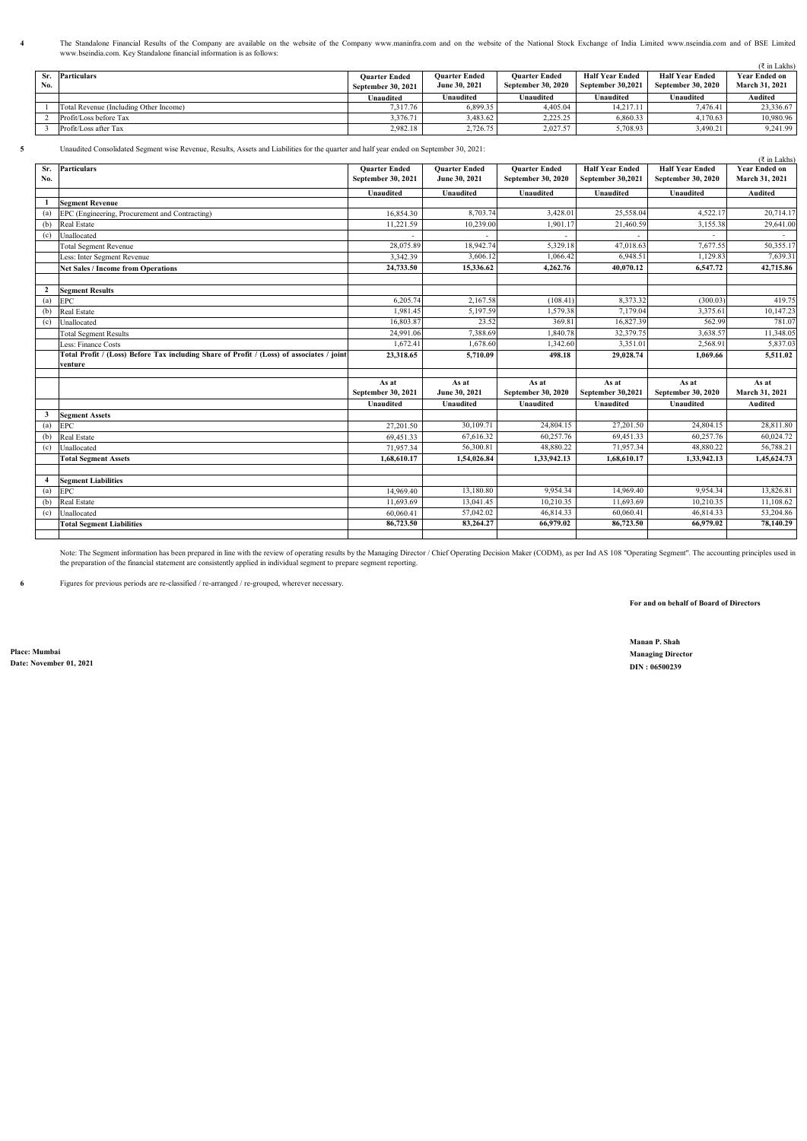The Standalone Financial Results of the Company are available on the website of the Company www.maninfra.com and on the website of the National Stock Exchange of India Limited www.nseindia.com and of BSE Limited<br>www.bseind

|     |                                        |                      |                      |                      |                        |                    | $(3 \in \mathbb{Z}^2)$ in Lakhs) |
|-----|----------------------------------------|----------------------|----------------------|----------------------|------------------------|--------------------|----------------------------------|
|     | Sr. Particulars                        | <b>Ouarter Ended</b> | <b>Ouarter Ended</b> | <b>Ouarter Ended</b> | <b>Half Year Ended</b> | Half Year Ended    | <b>Year Ended on</b>             |
| No. |                                        | September 30, 2021   | June 30, 2021        | September 30, 2020   | September 30,2021      | September 30, 2020 | March 31, 2021                   |
|     |                                        | Unaudited            | Unaudited            | Unaudited            | Unaudited              | Unaudited          | Audited                          |
|     | Total Revenue (Including Other Income) | 7.317.76             | 6,899.35             | 4,405.04             | 14.217.11              | 7.476.41           | 23.336.67                        |
|     | Profit/Loss before Tax                 | 3,376.71             | 3.483.62             | 2.225.25             | 6,860.33               | 4.170.63           | 10,980.96                        |
|     | Profit/Loss after Tax                  | 2.982.18             | 2.726.75             | 2.027.57             | 5,708.93               | 3.490.21           | 9.241.99                         |

**4**

**5** Unaudited Consolidated Segment wise Revenue, Results, Assets and Liabilities for the quarter and half year ended on September 30, 2021:

|              | Unaudited Consonuated Segment wise Revenue, Results, Assets and Liabinues for the quarter and han year chucu on September 90, 2021. |                             |                        |                             |                            |                             | (₹ in Lakhs)            |
|--------------|-------------------------------------------------------------------------------------------------------------------------------------|-----------------------------|------------------------|-----------------------------|----------------------------|-----------------------------|-------------------------|
| Sr.          | <b>Particulars</b>                                                                                                                  | <b>Ouarter Ended</b>        | <b>Ouarter Ended</b>   | <b>Quarter Ended</b>        | <b>Half Year Ended</b>     | <b>Half Year Ended</b>      | <b>Year Ended on</b>    |
| No.          |                                                                                                                                     | September 30, 2021          | June 30, 2021          | September 30, 2020          | September 30,2021          | September 30, 2020          | March 31, 2021          |
|              |                                                                                                                                     | Unaudited                   | Unaudited              | Unaudited                   | <b>Unaudited</b>           | Unaudited                   | Audited                 |
|              | <b>Segment Revenue</b>                                                                                                              |                             |                        |                             |                            |                             |                         |
| (a)          | EPC (Engineering, Procurement and Contracting)                                                                                      | 16,854.30                   | 8,703.74               | 3,428.01                    | 25,558.04                  | 4,522.17                    | 20,714.17               |
| (b)          | Real Estate                                                                                                                         | 11,221.59                   | 10,239.00              | 1,901.17                    | 21,460.59                  | 3,155.38                    | 29,641.00               |
| (c)          | Unallocated                                                                                                                         |                             |                        |                             |                            |                             |                         |
|              | <b>Total Segment Revenue</b>                                                                                                        | 28,075.89                   | 18,942.74              | 5.329.18                    | 47,018.63                  | 7.677.55                    | 50,355.17               |
|              | Less: Inter Segment Revenue                                                                                                         | 3.342.39                    | 3,606.12               | 1,066.42                    | 6,948.51                   | 1,129.83                    | 7,639.31                |
|              | <b>Net Sales / Income from Operations</b>                                                                                           | 24,733.50                   | 15,336.62              | 4.262.76                    | 40.070.12                  | 6,547.72                    | 42,715.86               |
|              |                                                                                                                                     |                             |                        |                             |                            |                             |                         |
| $\mathbf{2}$ | <b>Segment Results</b>                                                                                                              |                             |                        |                             |                            |                             |                         |
| (a)          | <b>EPC</b>                                                                                                                          | 6,205.74                    | 2,167.58               | (108.41)                    | 8,373.32                   | (300.03)                    | 419.75                  |
| (b)          | Real Estate                                                                                                                         | 1.981.45                    | 5,197.59               | 1,579.38                    | 7,179.04                   | 3,375.61                    | 10,147.23               |
| (c)          | Unallocated                                                                                                                         | 16,803.87                   | 23.52                  | 369.81                      | 16,827.39                  | 562.99                      | 781.07                  |
|              | <b>Total Segment Results</b>                                                                                                        | 24,991.06                   | 7,388.69               | 1,840.78                    | 32,379.75                  | 3,638.57                    | 11,348.05               |
|              | ess: Finance Costs                                                                                                                  | 1,672.41                    | 1,678.60               | 1,342.60                    | 3,351.01                   | 2,568.91                    | 5,837.03                |
|              | Total Profit / (Loss) Before Tax including Share of Profit / (Loss) of associates / joint                                           | 23,318.65                   | 5,710.09               | 498.18                      | 29,028.74                  | 1,069.66                    | 5,511.02                |
|              | venture                                                                                                                             |                             |                        |                             |                            |                             |                         |
|              |                                                                                                                                     |                             |                        |                             |                            |                             |                         |
|              |                                                                                                                                     | As at<br>September 30, 2021 | As at<br>June 30, 2021 | As at<br>September 30, 2020 | As at<br>September 30,2021 | As at<br>September 30, 2020 | As at<br>March 31, 2021 |
|              |                                                                                                                                     | Unaudited                   | Unaudited              | Unaudited                   | <b>Unaudited</b>           | Unaudited                   | Audited                 |
|              |                                                                                                                                     |                             |                        |                             |                            |                             |                         |
| 3            | <b>Segment Assets</b>                                                                                                               |                             |                        |                             | 27,201.50                  | 24,804.15                   |                         |
| (a)          | <b>EPC</b>                                                                                                                          | 27,201.50                   | 30,109.71<br>67,616.32 | 24,804.15<br>60,257.76      | 69,451.33                  | 60,257.76                   | 28,811.80<br>60,024.72  |
| (b)          | Real Estate                                                                                                                         | 69,451.33                   |                        |                             |                            |                             |                         |
| (c)          | Unallocated                                                                                                                         | 71,957.34                   | 56,300.81              | 48,880.22                   | 71,957.34                  | 48,880.22                   | 56,788.21               |
|              | <b>Total Segment Assets</b>                                                                                                         | 1,68,610.17                 | 1,54,026.84            | 1,33,942.13                 | 1,68,610.17                | 1,33,942.13                 | 1,45,624.73             |
|              |                                                                                                                                     |                             |                        |                             |                            |                             |                         |
| 4            | <b>Segment Liabilities</b>                                                                                                          |                             |                        |                             |                            |                             |                         |
| (a)          | <b>EPC</b>                                                                                                                          | 14,969.40                   | 13,180.80              | 9.954.34                    | 14,969.40                  | 9.954.34                    | 13,826.81               |
| (b)          | <b>Real Estate</b>                                                                                                                  | 11,693.69                   | 13,041.45              | 10,210.35                   | 11,693.69                  | 10,210.35                   | 11,108.62               |
| (c)          | Unallocated                                                                                                                         | 60,060.41                   | 57,042.02              | 46,814.33                   | 60,060.41                  | 46,814.33                   | 53,204.86               |
|              | <b>Total Segment Liabilities</b>                                                                                                    | 86,723.50                   | 83,264.27              | 66,979.02                   | 86,723.50                  | 66,979.02                   | 78,140.29               |
|              |                                                                                                                                     |                             |                        |                             |                            |                             |                         |

Note: The Segment information has been prepared in line with the review of operating results by the Managing Director / Chief Operating Decision Maker (CODM), as per Ind AS 108 "Operating Segment". The accounting principle

**6** Figures for previous periods are re-classified / re-arranged / re-grouped, wherever necessary.

**For and on behalf of Board of Directors**

**Manan P. Shah**

**Place: Mumbai Managing Director Date: November 01, 2021 DIN : 06500239**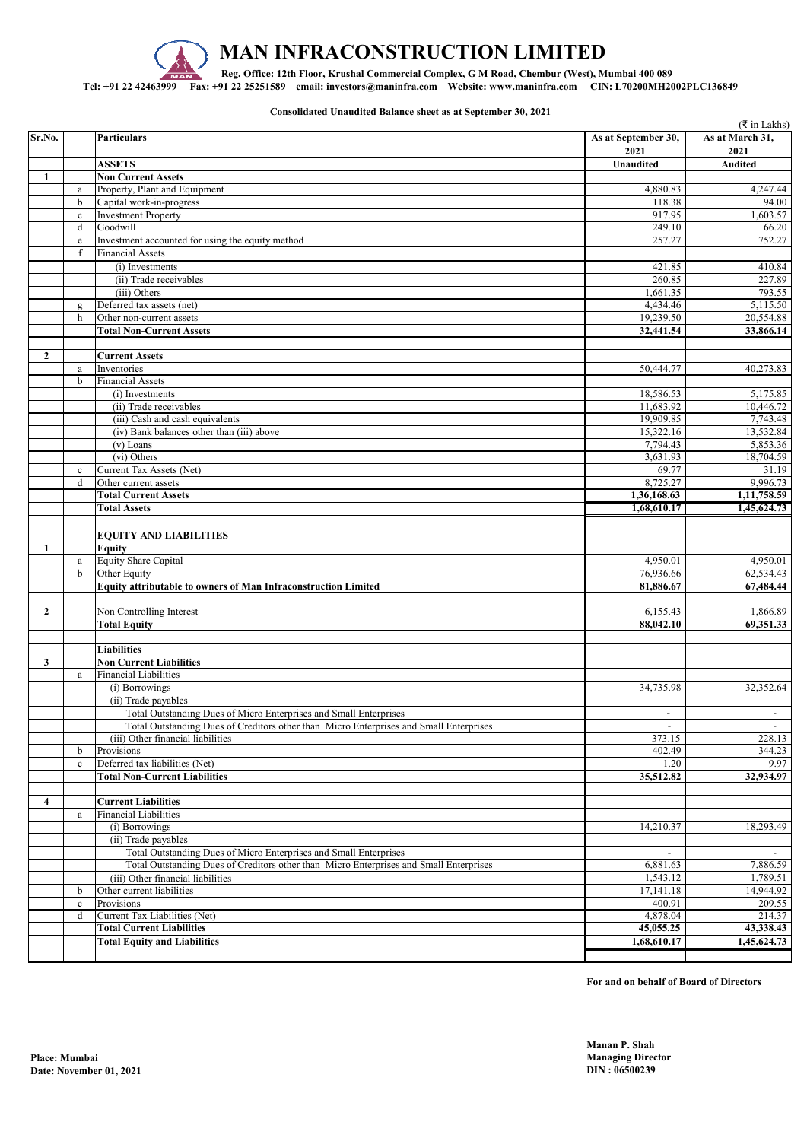

**Consolidated Unaudited Balance sheet as at September 30, 2021**

| 2021<br>2021<br><b>ASSETS</b><br><b>Unaudited</b><br><b>Audited</b><br><b>Non Current Assets</b><br>1<br>Property, Plant and Equipment<br>4,880.83<br>4,247.44<br>$\mathbf{a}$<br>Capital work-in-progress<br>118.38<br>94.00<br>b<br>917.95<br>1,603.57<br><b>Investment Property</b><br>$\mathbf c$<br>249.10<br>d<br>Goodwill<br>66.20<br>Investment accounted for using the equity method<br>257.27<br>752.27<br>$\rm e$<br>f<br><b>Financial Assets</b><br>410.84<br>421.85<br>(i) Investments<br>(ii) Trade receivables<br>260.85<br>227.89<br>793.55<br>(iii) Others<br>1,661.35<br>4,434.46<br>Deferred tax assets (net)<br>g<br>19,239.50<br>20,554.88<br>h<br>Other non-current assets<br>32,441.54<br><b>Total Non-Current Assets</b><br><b>Current Assets</b><br>2<br>50,444.77<br>Inventories<br>$\rm{a}$<br>b<br><b>Financial Assets</b><br>18,586.53<br>(i) Investments<br>11,683.92<br>(ii) Trade receivables<br>(iii) Cash and cash equivalents<br>19,909.85<br>15,322.16<br>(iv) Bank balances other than (iii) above<br>(v) Loans<br>7,794.43<br>18,704.59<br>(vi) Others<br>3,631.93<br>Current Tax Assets (Net)<br>69.77<br>$\mathbf c$<br>8,725.27<br>9,996.73<br>Other current assets<br>d<br>1,11,758.59<br>1,36,168.63<br><b>Total Current Assets</b><br>1,68,610.17<br>1,45,624.73<br><b>Total Assets</b><br><b>EQUITY AND LIABILITIES</b><br><b>Equity</b><br>1<br>Equity Share Capital<br>4,950.01<br>4,950.01<br>$\rm{a}$<br>Other Equity<br>76,936.66<br>$\mathbf b$<br>62,534.43<br>81,886.67<br>67,484.44<br>Equity attributable to owners of Man Infraconstruction Limited<br>$\overline{2}$<br>Non Controlling Interest<br>6,155.43<br>1,866.89<br>88,042.10<br>69,351.33<br><b>Total Equity</b><br><b>Liabilities</b><br><b>Non Current Liabilities</b><br>3<br><b>Financial Liabilities</b><br>$\rm{a}$<br>(i) Borrowings<br>34,735.98<br>(ii) Trade payables<br>Total Outstanding Dues of Micro Enterprises and Small Enterprises<br>$\overline{\phantom{a}}$<br>$\overline{\phantom{a}}$<br>Total Outstanding Dues of Creditors other than Micro Enterprises and Small Enterprises<br>$\sim$<br>$\sim$<br>373.15<br>(iii) Other financial liabilities<br>402.49<br>Provisions<br>b<br>Deferred tax liabilities (Net)<br>1.20<br>$\mathbf c$<br><b>Total Non-Current Liabilities</b><br>35,512.82<br>4<br><b>Current Liabilities</b><br><b>Financial Liabilities</b><br>$\rm{a}$<br>18,293.49<br>(i) Borrowings<br>14,210.37<br>(ii) Trade payables<br>Total Outstanding Dues of Micro Enterprises and Small Enterprises<br>Total Outstanding Dues of Creditors other than Micro Enterprises and Small Enterprises<br>7,886.59<br>6,881.63<br>1,543.12<br>1,789.51<br>(iii) Other financial liabilities<br>Other current liabilities<br>17,141.18<br>14,944.92<br>b<br>400.91<br>209.55<br>Provisions<br>$\mathbf c$<br>4,878.04<br>214.37<br>d<br>Current Tax Liabilities (Net)<br><b>Total Current Liabilities</b><br>45,055.25<br>43,338.43<br><b>Total Equity and Liabilities</b><br>1,68,610.17<br>1,45,624.73 |        |                    |                     | ( ₹ in Lakhs)   |
|----------------------------------------------------------------------------------------------------------------------------------------------------------------------------------------------------------------------------------------------------------------------------------------------------------------------------------------------------------------------------------------------------------------------------------------------------------------------------------------------------------------------------------------------------------------------------------------------------------------------------------------------------------------------------------------------------------------------------------------------------------------------------------------------------------------------------------------------------------------------------------------------------------------------------------------------------------------------------------------------------------------------------------------------------------------------------------------------------------------------------------------------------------------------------------------------------------------------------------------------------------------------------------------------------------------------------------------------------------------------------------------------------------------------------------------------------------------------------------------------------------------------------------------------------------------------------------------------------------------------------------------------------------------------------------------------------------------------------------------------------------------------------------------------------------------------------------------------------------------------------------------------------------------------------------------------------------------------------------------------------------------------------------------------------------------------------------------------------------------------------------------------------------------------------------------------------------------------------------------------------------------------------------------------------------------------------------------------------------------------------------------------------------------------------------------------------------------------------------------------------------------------------------------------------------------------------------------------------------------------------------------------------------------------------------------------------------------------------------------------------------------------------------------------------------------------------------------------------------------------------------------------------------------------------------------------------------------------------------------------------------------------------------------------------------|--------|--------------------|---------------------|-----------------|
|                                                                                                                                                                                                                                                                                                                                                                                                                                                                                                                                                                                                                                                                                                                                                                                                                                                                                                                                                                                                                                                                                                                                                                                                                                                                                                                                                                                                                                                                                                                                                                                                                                                                                                                                                                                                                                                                                                                                                                                                                                                                                                                                                                                                                                                                                                                                                                                                                                                                                                                                                                                                                                                                                                                                                                                                                                                                                                                                                                                                                                                          | Sr.No. | <b>Particulars</b> | As at September 30, | As at March 31, |
|                                                                                                                                                                                                                                                                                                                                                                                                                                                                                                                                                                                                                                                                                                                                                                                                                                                                                                                                                                                                                                                                                                                                                                                                                                                                                                                                                                                                                                                                                                                                                                                                                                                                                                                                                                                                                                                                                                                                                                                                                                                                                                                                                                                                                                                                                                                                                                                                                                                                                                                                                                                                                                                                                                                                                                                                                                                                                                                                                                                                                                                          |        |                    |                     |                 |
|                                                                                                                                                                                                                                                                                                                                                                                                                                                                                                                                                                                                                                                                                                                                                                                                                                                                                                                                                                                                                                                                                                                                                                                                                                                                                                                                                                                                                                                                                                                                                                                                                                                                                                                                                                                                                                                                                                                                                                                                                                                                                                                                                                                                                                                                                                                                                                                                                                                                                                                                                                                                                                                                                                                                                                                                                                                                                                                                                                                                                                                          |        |                    |                     |                 |
|                                                                                                                                                                                                                                                                                                                                                                                                                                                                                                                                                                                                                                                                                                                                                                                                                                                                                                                                                                                                                                                                                                                                                                                                                                                                                                                                                                                                                                                                                                                                                                                                                                                                                                                                                                                                                                                                                                                                                                                                                                                                                                                                                                                                                                                                                                                                                                                                                                                                                                                                                                                                                                                                                                                                                                                                                                                                                                                                                                                                                                                          |        |                    |                     |                 |
|                                                                                                                                                                                                                                                                                                                                                                                                                                                                                                                                                                                                                                                                                                                                                                                                                                                                                                                                                                                                                                                                                                                                                                                                                                                                                                                                                                                                                                                                                                                                                                                                                                                                                                                                                                                                                                                                                                                                                                                                                                                                                                                                                                                                                                                                                                                                                                                                                                                                                                                                                                                                                                                                                                                                                                                                                                                                                                                                                                                                                                                          |        |                    |                     |                 |
|                                                                                                                                                                                                                                                                                                                                                                                                                                                                                                                                                                                                                                                                                                                                                                                                                                                                                                                                                                                                                                                                                                                                                                                                                                                                                                                                                                                                                                                                                                                                                                                                                                                                                                                                                                                                                                                                                                                                                                                                                                                                                                                                                                                                                                                                                                                                                                                                                                                                                                                                                                                                                                                                                                                                                                                                                                                                                                                                                                                                                                                          |        |                    |                     |                 |
|                                                                                                                                                                                                                                                                                                                                                                                                                                                                                                                                                                                                                                                                                                                                                                                                                                                                                                                                                                                                                                                                                                                                                                                                                                                                                                                                                                                                                                                                                                                                                                                                                                                                                                                                                                                                                                                                                                                                                                                                                                                                                                                                                                                                                                                                                                                                                                                                                                                                                                                                                                                                                                                                                                                                                                                                                                                                                                                                                                                                                                                          |        |                    |                     |                 |
|                                                                                                                                                                                                                                                                                                                                                                                                                                                                                                                                                                                                                                                                                                                                                                                                                                                                                                                                                                                                                                                                                                                                                                                                                                                                                                                                                                                                                                                                                                                                                                                                                                                                                                                                                                                                                                                                                                                                                                                                                                                                                                                                                                                                                                                                                                                                                                                                                                                                                                                                                                                                                                                                                                                                                                                                                                                                                                                                                                                                                                                          |        |                    |                     |                 |
|                                                                                                                                                                                                                                                                                                                                                                                                                                                                                                                                                                                                                                                                                                                                                                                                                                                                                                                                                                                                                                                                                                                                                                                                                                                                                                                                                                                                                                                                                                                                                                                                                                                                                                                                                                                                                                                                                                                                                                                                                                                                                                                                                                                                                                                                                                                                                                                                                                                                                                                                                                                                                                                                                                                                                                                                                                                                                                                                                                                                                                                          |        |                    |                     |                 |
|                                                                                                                                                                                                                                                                                                                                                                                                                                                                                                                                                                                                                                                                                                                                                                                                                                                                                                                                                                                                                                                                                                                                                                                                                                                                                                                                                                                                                                                                                                                                                                                                                                                                                                                                                                                                                                                                                                                                                                                                                                                                                                                                                                                                                                                                                                                                                                                                                                                                                                                                                                                                                                                                                                                                                                                                                                                                                                                                                                                                                                                          |        |                    |                     |                 |
|                                                                                                                                                                                                                                                                                                                                                                                                                                                                                                                                                                                                                                                                                                                                                                                                                                                                                                                                                                                                                                                                                                                                                                                                                                                                                                                                                                                                                                                                                                                                                                                                                                                                                                                                                                                                                                                                                                                                                                                                                                                                                                                                                                                                                                                                                                                                                                                                                                                                                                                                                                                                                                                                                                                                                                                                                                                                                                                                                                                                                                                          |        |                    |                     |                 |
|                                                                                                                                                                                                                                                                                                                                                                                                                                                                                                                                                                                                                                                                                                                                                                                                                                                                                                                                                                                                                                                                                                                                                                                                                                                                                                                                                                                                                                                                                                                                                                                                                                                                                                                                                                                                                                                                                                                                                                                                                                                                                                                                                                                                                                                                                                                                                                                                                                                                                                                                                                                                                                                                                                                                                                                                                                                                                                                                                                                                                                                          |        |                    |                     | 5,115.50        |
|                                                                                                                                                                                                                                                                                                                                                                                                                                                                                                                                                                                                                                                                                                                                                                                                                                                                                                                                                                                                                                                                                                                                                                                                                                                                                                                                                                                                                                                                                                                                                                                                                                                                                                                                                                                                                                                                                                                                                                                                                                                                                                                                                                                                                                                                                                                                                                                                                                                                                                                                                                                                                                                                                                                                                                                                                                                                                                                                                                                                                                                          |        |                    |                     |                 |
|                                                                                                                                                                                                                                                                                                                                                                                                                                                                                                                                                                                                                                                                                                                                                                                                                                                                                                                                                                                                                                                                                                                                                                                                                                                                                                                                                                                                                                                                                                                                                                                                                                                                                                                                                                                                                                                                                                                                                                                                                                                                                                                                                                                                                                                                                                                                                                                                                                                                                                                                                                                                                                                                                                                                                                                                                                                                                                                                                                                                                                                          |        |                    |                     | 33,866.14       |
|                                                                                                                                                                                                                                                                                                                                                                                                                                                                                                                                                                                                                                                                                                                                                                                                                                                                                                                                                                                                                                                                                                                                                                                                                                                                                                                                                                                                                                                                                                                                                                                                                                                                                                                                                                                                                                                                                                                                                                                                                                                                                                                                                                                                                                                                                                                                                                                                                                                                                                                                                                                                                                                                                                                                                                                                                                                                                                                                                                                                                                                          |        |                    |                     |                 |
|                                                                                                                                                                                                                                                                                                                                                                                                                                                                                                                                                                                                                                                                                                                                                                                                                                                                                                                                                                                                                                                                                                                                                                                                                                                                                                                                                                                                                                                                                                                                                                                                                                                                                                                                                                                                                                                                                                                                                                                                                                                                                                                                                                                                                                                                                                                                                                                                                                                                                                                                                                                                                                                                                                                                                                                                                                                                                                                                                                                                                                                          |        |                    |                     |                 |
|                                                                                                                                                                                                                                                                                                                                                                                                                                                                                                                                                                                                                                                                                                                                                                                                                                                                                                                                                                                                                                                                                                                                                                                                                                                                                                                                                                                                                                                                                                                                                                                                                                                                                                                                                                                                                                                                                                                                                                                                                                                                                                                                                                                                                                                                                                                                                                                                                                                                                                                                                                                                                                                                                                                                                                                                                                                                                                                                                                                                                                                          |        |                    |                     | 40,273.83       |
|                                                                                                                                                                                                                                                                                                                                                                                                                                                                                                                                                                                                                                                                                                                                                                                                                                                                                                                                                                                                                                                                                                                                                                                                                                                                                                                                                                                                                                                                                                                                                                                                                                                                                                                                                                                                                                                                                                                                                                                                                                                                                                                                                                                                                                                                                                                                                                                                                                                                                                                                                                                                                                                                                                                                                                                                                                                                                                                                                                                                                                                          |        |                    |                     |                 |
|                                                                                                                                                                                                                                                                                                                                                                                                                                                                                                                                                                                                                                                                                                                                                                                                                                                                                                                                                                                                                                                                                                                                                                                                                                                                                                                                                                                                                                                                                                                                                                                                                                                                                                                                                                                                                                                                                                                                                                                                                                                                                                                                                                                                                                                                                                                                                                                                                                                                                                                                                                                                                                                                                                                                                                                                                                                                                                                                                                                                                                                          |        |                    |                     | 5,175.85        |
|                                                                                                                                                                                                                                                                                                                                                                                                                                                                                                                                                                                                                                                                                                                                                                                                                                                                                                                                                                                                                                                                                                                                                                                                                                                                                                                                                                                                                                                                                                                                                                                                                                                                                                                                                                                                                                                                                                                                                                                                                                                                                                                                                                                                                                                                                                                                                                                                                                                                                                                                                                                                                                                                                                                                                                                                                                                                                                                                                                                                                                                          |        |                    |                     | 10,446.72       |
|                                                                                                                                                                                                                                                                                                                                                                                                                                                                                                                                                                                                                                                                                                                                                                                                                                                                                                                                                                                                                                                                                                                                                                                                                                                                                                                                                                                                                                                                                                                                                                                                                                                                                                                                                                                                                                                                                                                                                                                                                                                                                                                                                                                                                                                                                                                                                                                                                                                                                                                                                                                                                                                                                                                                                                                                                                                                                                                                                                                                                                                          |        |                    |                     | 7,743.48        |
|                                                                                                                                                                                                                                                                                                                                                                                                                                                                                                                                                                                                                                                                                                                                                                                                                                                                                                                                                                                                                                                                                                                                                                                                                                                                                                                                                                                                                                                                                                                                                                                                                                                                                                                                                                                                                                                                                                                                                                                                                                                                                                                                                                                                                                                                                                                                                                                                                                                                                                                                                                                                                                                                                                                                                                                                                                                                                                                                                                                                                                                          |        |                    |                     | 13,532.84       |
|                                                                                                                                                                                                                                                                                                                                                                                                                                                                                                                                                                                                                                                                                                                                                                                                                                                                                                                                                                                                                                                                                                                                                                                                                                                                                                                                                                                                                                                                                                                                                                                                                                                                                                                                                                                                                                                                                                                                                                                                                                                                                                                                                                                                                                                                                                                                                                                                                                                                                                                                                                                                                                                                                                                                                                                                                                                                                                                                                                                                                                                          |        |                    |                     | 5,853.36        |
|                                                                                                                                                                                                                                                                                                                                                                                                                                                                                                                                                                                                                                                                                                                                                                                                                                                                                                                                                                                                                                                                                                                                                                                                                                                                                                                                                                                                                                                                                                                                                                                                                                                                                                                                                                                                                                                                                                                                                                                                                                                                                                                                                                                                                                                                                                                                                                                                                                                                                                                                                                                                                                                                                                                                                                                                                                                                                                                                                                                                                                                          |        |                    |                     |                 |
|                                                                                                                                                                                                                                                                                                                                                                                                                                                                                                                                                                                                                                                                                                                                                                                                                                                                                                                                                                                                                                                                                                                                                                                                                                                                                                                                                                                                                                                                                                                                                                                                                                                                                                                                                                                                                                                                                                                                                                                                                                                                                                                                                                                                                                                                                                                                                                                                                                                                                                                                                                                                                                                                                                                                                                                                                                                                                                                                                                                                                                                          |        |                    |                     | 31.19           |
|                                                                                                                                                                                                                                                                                                                                                                                                                                                                                                                                                                                                                                                                                                                                                                                                                                                                                                                                                                                                                                                                                                                                                                                                                                                                                                                                                                                                                                                                                                                                                                                                                                                                                                                                                                                                                                                                                                                                                                                                                                                                                                                                                                                                                                                                                                                                                                                                                                                                                                                                                                                                                                                                                                                                                                                                                                                                                                                                                                                                                                                          |        |                    |                     |                 |
|                                                                                                                                                                                                                                                                                                                                                                                                                                                                                                                                                                                                                                                                                                                                                                                                                                                                                                                                                                                                                                                                                                                                                                                                                                                                                                                                                                                                                                                                                                                                                                                                                                                                                                                                                                                                                                                                                                                                                                                                                                                                                                                                                                                                                                                                                                                                                                                                                                                                                                                                                                                                                                                                                                                                                                                                                                                                                                                                                                                                                                                          |        |                    |                     |                 |
|                                                                                                                                                                                                                                                                                                                                                                                                                                                                                                                                                                                                                                                                                                                                                                                                                                                                                                                                                                                                                                                                                                                                                                                                                                                                                                                                                                                                                                                                                                                                                                                                                                                                                                                                                                                                                                                                                                                                                                                                                                                                                                                                                                                                                                                                                                                                                                                                                                                                                                                                                                                                                                                                                                                                                                                                                                                                                                                                                                                                                                                          |        |                    |                     |                 |
|                                                                                                                                                                                                                                                                                                                                                                                                                                                                                                                                                                                                                                                                                                                                                                                                                                                                                                                                                                                                                                                                                                                                                                                                                                                                                                                                                                                                                                                                                                                                                                                                                                                                                                                                                                                                                                                                                                                                                                                                                                                                                                                                                                                                                                                                                                                                                                                                                                                                                                                                                                                                                                                                                                                                                                                                                                                                                                                                                                                                                                                          |        |                    |                     |                 |
|                                                                                                                                                                                                                                                                                                                                                                                                                                                                                                                                                                                                                                                                                                                                                                                                                                                                                                                                                                                                                                                                                                                                                                                                                                                                                                                                                                                                                                                                                                                                                                                                                                                                                                                                                                                                                                                                                                                                                                                                                                                                                                                                                                                                                                                                                                                                                                                                                                                                                                                                                                                                                                                                                                                                                                                                                                                                                                                                                                                                                                                          |        |                    |                     |                 |
|                                                                                                                                                                                                                                                                                                                                                                                                                                                                                                                                                                                                                                                                                                                                                                                                                                                                                                                                                                                                                                                                                                                                                                                                                                                                                                                                                                                                                                                                                                                                                                                                                                                                                                                                                                                                                                                                                                                                                                                                                                                                                                                                                                                                                                                                                                                                                                                                                                                                                                                                                                                                                                                                                                                                                                                                                                                                                                                                                                                                                                                          |        |                    |                     |                 |
|                                                                                                                                                                                                                                                                                                                                                                                                                                                                                                                                                                                                                                                                                                                                                                                                                                                                                                                                                                                                                                                                                                                                                                                                                                                                                                                                                                                                                                                                                                                                                                                                                                                                                                                                                                                                                                                                                                                                                                                                                                                                                                                                                                                                                                                                                                                                                                                                                                                                                                                                                                                                                                                                                                                                                                                                                                                                                                                                                                                                                                                          |        |                    |                     |                 |
|                                                                                                                                                                                                                                                                                                                                                                                                                                                                                                                                                                                                                                                                                                                                                                                                                                                                                                                                                                                                                                                                                                                                                                                                                                                                                                                                                                                                                                                                                                                                                                                                                                                                                                                                                                                                                                                                                                                                                                                                                                                                                                                                                                                                                                                                                                                                                                                                                                                                                                                                                                                                                                                                                                                                                                                                                                                                                                                                                                                                                                                          |        |                    |                     |                 |
|                                                                                                                                                                                                                                                                                                                                                                                                                                                                                                                                                                                                                                                                                                                                                                                                                                                                                                                                                                                                                                                                                                                                                                                                                                                                                                                                                                                                                                                                                                                                                                                                                                                                                                                                                                                                                                                                                                                                                                                                                                                                                                                                                                                                                                                                                                                                                                                                                                                                                                                                                                                                                                                                                                                                                                                                                                                                                                                                                                                                                                                          |        |                    |                     |                 |
|                                                                                                                                                                                                                                                                                                                                                                                                                                                                                                                                                                                                                                                                                                                                                                                                                                                                                                                                                                                                                                                                                                                                                                                                                                                                                                                                                                                                                                                                                                                                                                                                                                                                                                                                                                                                                                                                                                                                                                                                                                                                                                                                                                                                                                                                                                                                                                                                                                                                                                                                                                                                                                                                                                                                                                                                                                                                                                                                                                                                                                                          |        |                    |                     |                 |
|                                                                                                                                                                                                                                                                                                                                                                                                                                                                                                                                                                                                                                                                                                                                                                                                                                                                                                                                                                                                                                                                                                                                                                                                                                                                                                                                                                                                                                                                                                                                                                                                                                                                                                                                                                                                                                                                                                                                                                                                                                                                                                                                                                                                                                                                                                                                                                                                                                                                                                                                                                                                                                                                                                                                                                                                                                                                                                                                                                                                                                                          |        |                    |                     |                 |
|                                                                                                                                                                                                                                                                                                                                                                                                                                                                                                                                                                                                                                                                                                                                                                                                                                                                                                                                                                                                                                                                                                                                                                                                                                                                                                                                                                                                                                                                                                                                                                                                                                                                                                                                                                                                                                                                                                                                                                                                                                                                                                                                                                                                                                                                                                                                                                                                                                                                                                                                                                                                                                                                                                                                                                                                                                                                                                                                                                                                                                                          |        |                    |                     |                 |
|                                                                                                                                                                                                                                                                                                                                                                                                                                                                                                                                                                                                                                                                                                                                                                                                                                                                                                                                                                                                                                                                                                                                                                                                                                                                                                                                                                                                                                                                                                                                                                                                                                                                                                                                                                                                                                                                                                                                                                                                                                                                                                                                                                                                                                                                                                                                                                                                                                                                                                                                                                                                                                                                                                                                                                                                                                                                                                                                                                                                                                                          |        |                    |                     |                 |
|                                                                                                                                                                                                                                                                                                                                                                                                                                                                                                                                                                                                                                                                                                                                                                                                                                                                                                                                                                                                                                                                                                                                                                                                                                                                                                                                                                                                                                                                                                                                                                                                                                                                                                                                                                                                                                                                                                                                                                                                                                                                                                                                                                                                                                                                                                                                                                                                                                                                                                                                                                                                                                                                                                                                                                                                                                                                                                                                                                                                                                                          |        |                    |                     |                 |
|                                                                                                                                                                                                                                                                                                                                                                                                                                                                                                                                                                                                                                                                                                                                                                                                                                                                                                                                                                                                                                                                                                                                                                                                                                                                                                                                                                                                                                                                                                                                                                                                                                                                                                                                                                                                                                                                                                                                                                                                                                                                                                                                                                                                                                                                                                                                                                                                                                                                                                                                                                                                                                                                                                                                                                                                                                                                                                                                                                                                                                                          |        |                    |                     |                 |
|                                                                                                                                                                                                                                                                                                                                                                                                                                                                                                                                                                                                                                                                                                                                                                                                                                                                                                                                                                                                                                                                                                                                                                                                                                                                                                                                                                                                                                                                                                                                                                                                                                                                                                                                                                                                                                                                                                                                                                                                                                                                                                                                                                                                                                                                                                                                                                                                                                                                                                                                                                                                                                                                                                                                                                                                                                                                                                                                                                                                                                                          |        |                    |                     | 32,352.64       |
|                                                                                                                                                                                                                                                                                                                                                                                                                                                                                                                                                                                                                                                                                                                                                                                                                                                                                                                                                                                                                                                                                                                                                                                                                                                                                                                                                                                                                                                                                                                                                                                                                                                                                                                                                                                                                                                                                                                                                                                                                                                                                                                                                                                                                                                                                                                                                                                                                                                                                                                                                                                                                                                                                                                                                                                                                                                                                                                                                                                                                                                          |        |                    |                     |                 |
|                                                                                                                                                                                                                                                                                                                                                                                                                                                                                                                                                                                                                                                                                                                                                                                                                                                                                                                                                                                                                                                                                                                                                                                                                                                                                                                                                                                                                                                                                                                                                                                                                                                                                                                                                                                                                                                                                                                                                                                                                                                                                                                                                                                                                                                                                                                                                                                                                                                                                                                                                                                                                                                                                                                                                                                                                                                                                                                                                                                                                                                          |        |                    |                     |                 |
|                                                                                                                                                                                                                                                                                                                                                                                                                                                                                                                                                                                                                                                                                                                                                                                                                                                                                                                                                                                                                                                                                                                                                                                                                                                                                                                                                                                                                                                                                                                                                                                                                                                                                                                                                                                                                                                                                                                                                                                                                                                                                                                                                                                                                                                                                                                                                                                                                                                                                                                                                                                                                                                                                                                                                                                                                                                                                                                                                                                                                                                          |        |                    |                     |                 |
|                                                                                                                                                                                                                                                                                                                                                                                                                                                                                                                                                                                                                                                                                                                                                                                                                                                                                                                                                                                                                                                                                                                                                                                                                                                                                                                                                                                                                                                                                                                                                                                                                                                                                                                                                                                                                                                                                                                                                                                                                                                                                                                                                                                                                                                                                                                                                                                                                                                                                                                                                                                                                                                                                                                                                                                                                                                                                                                                                                                                                                                          |        |                    |                     | 228.13          |
|                                                                                                                                                                                                                                                                                                                                                                                                                                                                                                                                                                                                                                                                                                                                                                                                                                                                                                                                                                                                                                                                                                                                                                                                                                                                                                                                                                                                                                                                                                                                                                                                                                                                                                                                                                                                                                                                                                                                                                                                                                                                                                                                                                                                                                                                                                                                                                                                                                                                                                                                                                                                                                                                                                                                                                                                                                                                                                                                                                                                                                                          |        |                    |                     | 344.23          |
|                                                                                                                                                                                                                                                                                                                                                                                                                                                                                                                                                                                                                                                                                                                                                                                                                                                                                                                                                                                                                                                                                                                                                                                                                                                                                                                                                                                                                                                                                                                                                                                                                                                                                                                                                                                                                                                                                                                                                                                                                                                                                                                                                                                                                                                                                                                                                                                                                                                                                                                                                                                                                                                                                                                                                                                                                                                                                                                                                                                                                                                          |        |                    |                     | 9.97            |
|                                                                                                                                                                                                                                                                                                                                                                                                                                                                                                                                                                                                                                                                                                                                                                                                                                                                                                                                                                                                                                                                                                                                                                                                                                                                                                                                                                                                                                                                                                                                                                                                                                                                                                                                                                                                                                                                                                                                                                                                                                                                                                                                                                                                                                                                                                                                                                                                                                                                                                                                                                                                                                                                                                                                                                                                                                                                                                                                                                                                                                                          |        |                    |                     | 32,934.97       |
|                                                                                                                                                                                                                                                                                                                                                                                                                                                                                                                                                                                                                                                                                                                                                                                                                                                                                                                                                                                                                                                                                                                                                                                                                                                                                                                                                                                                                                                                                                                                                                                                                                                                                                                                                                                                                                                                                                                                                                                                                                                                                                                                                                                                                                                                                                                                                                                                                                                                                                                                                                                                                                                                                                                                                                                                                                                                                                                                                                                                                                                          |        |                    |                     |                 |
|                                                                                                                                                                                                                                                                                                                                                                                                                                                                                                                                                                                                                                                                                                                                                                                                                                                                                                                                                                                                                                                                                                                                                                                                                                                                                                                                                                                                                                                                                                                                                                                                                                                                                                                                                                                                                                                                                                                                                                                                                                                                                                                                                                                                                                                                                                                                                                                                                                                                                                                                                                                                                                                                                                                                                                                                                                                                                                                                                                                                                                                          |        |                    |                     |                 |
|                                                                                                                                                                                                                                                                                                                                                                                                                                                                                                                                                                                                                                                                                                                                                                                                                                                                                                                                                                                                                                                                                                                                                                                                                                                                                                                                                                                                                                                                                                                                                                                                                                                                                                                                                                                                                                                                                                                                                                                                                                                                                                                                                                                                                                                                                                                                                                                                                                                                                                                                                                                                                                                                                                                                                                                                                                                                                                                                                                                                                                                          |        |                    |                     |                 |
|                                                                                                                                                                                                                                                                                                                                                                                                                                                                                                                                                                                                                                                                                                                                                                                                                                                                                                                                                                                                                                                                                                                                                                                                                                                                                                                                                                                                                                                                                                                                                                                                                                                                                                                                                                                                                                                                                                                                                                                                                                                                                                                                                                                                                                                                                                                                                                                                                                                                                                                                                                                                                                                                                                                                                                                                                                                                                                                                                                                                                                                          |        |                    |                     |                 |
|                                                                                                                                                                                                                                                                                                                                                                                                                                                                                                                                                                                                                                                                                                                                                                                                                                                                                                                                                                                                                                                                                                                                                                                                                                                                                                                                                                                                                                                                                                                                                                                                                                                                                                                                                                                                                                                                                                                                                                                                                                                                                                                                                                                                                                                                                                                                                                                                                                                                                                                                                                                                                                                                                                                                                                                                                                                                                                                                                                                                                                                          |        |                    |                     |                 |
|                                                                                                                                                                                                                                                                                                                                                                                                                                                                                                                                                                                                                                                                                                                                                                                                                                                                                                                                                                                                                                                                                                                                                                                                                                                                                                                                                                                                                                                                                                                                                                                                                                                                                                                                                                                                                                                                                                                                                                                                                                                                                                                                                                                                                                                                                                                                                                                                                                                                                                                                                                                                                                                                                                                                                                                                                                                                                                                                                                                                                                                          |        |                    |                     |                 |
|                                                                                                                                                                                                                                                                                                                                                                                                                                                                                                                                                                                                                                                                                                                                                                                                                                                                                                                                                                                                                                                                                                                                                                                                                                                                                                                                                                                                                                                                                                                                                                                                                                                                                                                                                                                                                                                                                                                                                                                                                                                                                                                                                                                                                                                                                                                                                                                                                                                                                                                                                                                                                                                                                                                                                                                                                                                                                                                                                                                                                                                          |        |                    |                     |                 |
|                                                                                                                                                                                                                                                                                                                                                                                                                                                                                                                                                                                                                                                                                                                                                                                                                                                                                                                                                                                                                                                                                                                                                                                                                                                                                                                                                                                                                                                                                                                                                                                                                                                                                                                                                                                                                                                                                                                                                                                                                                                                                                                                                                                                                                                                                                                                                                                                                                                                                                                                                                                                                                                                                                                                                                                                                                                                                                                                                                                                                                                          |        |                    |                     |                 |
|                                                                                                                                                                                                                                                                                                                                                                                                                                                                                                                                                                                                                                                                                                                                                                                                                                                                                                                                                                                                                                                                                                                                                                                                                                                                                                                                                                                                                                                                                                                                                                                                                                                                                                                                                                                                                                                                                                                                                                                                                                                                                                                                                                                                                                                                                                                                                                                                                                                                                                                                                                                                                                                                                                                                                                                                                                                                                                                                                                                                                                                          |        |                    |                     |                 |
|                                                                                                                                                                                                                                                                                                                                                                                                                                                                                                                                                                                                                                                                                                                                                                                                                                                                                                                                                                                                                                                                                                                                                                                                                                                                                                                                                                                                                                                                                                                                                                                                                                                                                                                                                                                                                                                                                                                                                                                                                                                                                                                                                                                                                                                                                                                                                                                                                                                                                                                                                                                                                                                                                                                                                                                                                                                                                                                                                                                                                                                          |        |                    |                     |                 |
|                                                                                                                                                                                                                                                                                                                                                                                                                                                                                                                                                                                                                                                                                                                                                                                                                                                                                                                                                                                                                                                                                                                                                                                                                                                                                                                                                                                                                                                                                                                                                                                                                                                                                                                                                                                                                                                                                                                                                                                                                                                                                                                                                                                                                                                                                                                                                                                                                                                                                                                                                                                                                                                                                                                                                                                                                                                                                                                                                                                                                                                          |        |                    |                     |                 |
|                                                                                                                                                                                                                                                                                                                                                                                                                                                                                                                                                                                                                                                                                                                                                                                                                                                                                                                                                                                                                                                                                                                                                                                                                                                                                                                                                                                                                                                                                                                                                                                                                                                                                                                                                                                                                                                                                                                                                                                                                                                                                                                                                                                                                                                                                                                                                                                                                                                                                                                                                                                                                                                                                                                                                                                                                                                                                                                                                                                                                                                          |        |                    |                     |                 |
|                                                                                                                                                                                                                                                                                                                                                                                                                                                                                                                                                                                                                                                                                                                                                                                                                                                                                                                                                                                                                                                                                                                                                                                                                                                                                                                                                                                                                                                                                                                                                                                                                                                                                                                                                                                                                                                                                                                                                                                                                                                                                                                                                                                                                                                                                                                                                                                                                                                                                                                                                                                                                                                                                                                                                                                                                                                                                                                                                                                                                                                          |        |                    |                     |                 |

**For and on behalf of Board of Directors**